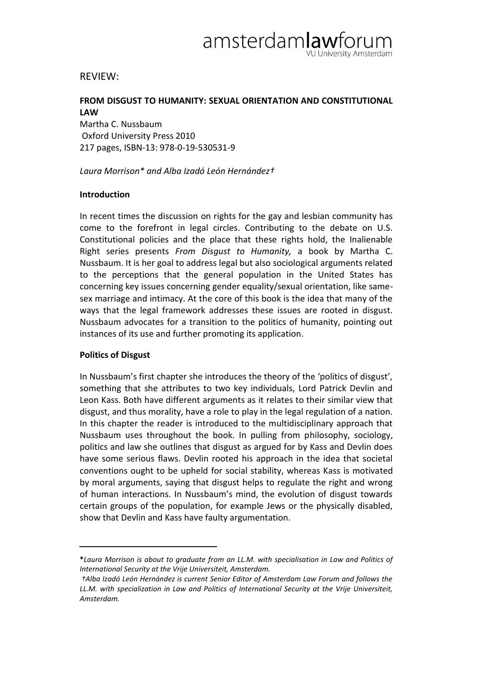

## REVIEW:

# **FROM DISGUST TO HUMANITY: SEXUAL ORIENTATION AND CONSTITUTIONAL LAW**

Martha C. Nussbaum Oxford University Press 2010 217 pages, ISBN-13: 978-0-19-530531-9

*Laura Morrison\* and Alba Izadó León Hernández†*

#### **Introduction**

In recent times the discussion on rights for the gay and lesbian community has come to the forefront in legal circles. Contributing to the debate on U.S. Constitutional policies and the place that these rights hold, the Inalienable Right series presents *From Disgust to Humanity,* a book by Martha C. Nussbaum. It is her goal to address legal but also sociological arguments related to the perceptions that the general population in the United States has concerning key issues concerning gender equality/sexual orientation, like samesex marriage and intimacy. At the core of this book is the idea that many of the ways that the legal framework addresses these issues are rooted in disgust. Nussbaum advocates for a transition to the politics of humanity, pointing out instances of its use and further promoting its application.

#### **Politics of Disgust**

In Nussbaum's first chapter she introduces the theory of the 'politics of disgust', something that she attributes to two key individuals, Lord Patrick Devlin and Leon Kass. Both have different arguments as it relates to their similar view that disgust, and thus morality, have a role to play in the legal regulation of a nation. In this chapter the reader is introduced to the multidisciplinary approach that Nussbaum uses throughout the book. In pulling from philosophy, sociology, politics and law she outlines that disgust as argued for by Kass and Devlin does have some serious flaws. Devlin rooted his approach in the idea that societal conventions ought to be upheld for social stability, whereas Kass is motivated by moral arguments, saying that disgust helps to regulate the right and wrong of human interactions. In Nussbaum's mind, the evolution of disgust towards certain groups of the population, for example Jews or the physically disabled, show that Devlin and Kass have faulty argumentation.

**<sup>\*</sup>***Laura Morrison is about to graduate from an LL.M. with specialisation in Law and Politics of International Security at the Vrije Universiteit, Amsterdam.*

*<sup>†</sup>Alba Izadó León Hernández is current Senior Editor of Amsterdam Law Forum and follows the LL.M. with specialization in Law and Politics of International Security at the Vrije Universiteit, Amsterdam.*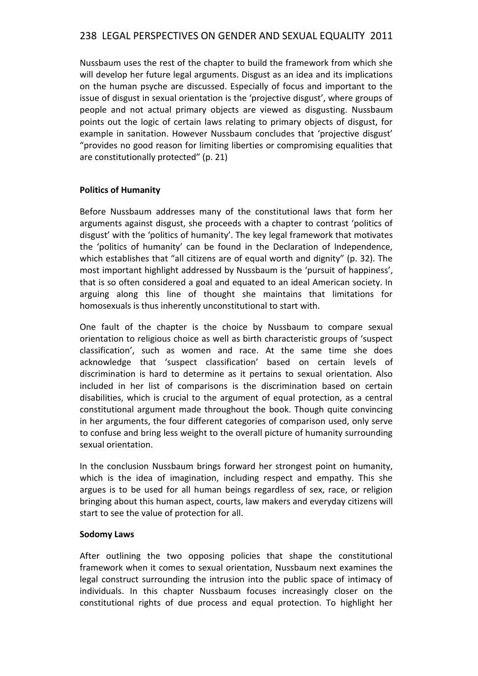# 238 LEGAL PERSPECTIVES ON GENDER AND SEXUAL EQUALITY 2011

Nussbaum uses the rest of the chapter to build the framework from which she will develop her future legal arguments. Disgust as an idea and its implications on the human psyche are discussed. Especially of focus and important to the issue of disgust in sexual orientation is the 'projective disgust', where groups of people and not actual primary objects are viewed as disgusting. Nussbaum points out the logic of certain laws relating to primary objects of disgust, for example in sanitation. However Nussbaum concludes that 'projective disgust' "provides no good reason for limiting liberties or compromising equalities that are constitutionally protected" (p. 21)

## **Politics of Humanity**

Before Nussbaum addresses many of the constitutional laws that form her arguments against disgust, she proceeds with a chapter to contrast 'politics of disgust' with the 'politics of humanity'. The key legal framework that motivates the 'politics of humanity' can be found in the Declaration of Independence, which establishes that "all citizens are of equal worth and dignity" (p. 32). The most important highlight addressed by Nussbaum is the 'pursuit of happiness', that is so often considered a goal and equated to an ideal American society. In arguing along this line of thought she maintains that limitations for homosexuals is thus inherently unconstitutional to start with.

One fault of the chapter is the choice by Nussbaum to compare sexual orientation to religious choice as well as birth characteristic groups of 'suspect classification', such as women and race. At the same time she does acknowledge that 'suspect classification' based on certain levels of discrimination is hard to determine as it pertains to sexual orientation. Also included in her list of comparisons is the discrimination based on certain disabilities, which is crucial to the argument of equal protection, as a central constitutional argument made throughout the book. Though quite convincing in her arguments, the four different categories of comparison used, only serve to confuse and bring less weight to the overall picture of humanity surrounding sexual orientation.

In the conclusion Nussbaum brings forward her strongest point on humanity, which is the idea of imagination, including respect and empathy. This she argues is to be used for all human beings regardless of sex, race, or religion bringing about this human aspect, courts, law makers and everyday citizens will start to see the value of protection for all.

## **Sodomy Laws**

After outlining the two opposing policies that shape the constitutional framework when it comes to sexual orientation, Nussbaum next examines the legal construct surrounding the intrusion into the public space of intimacy of individuals. In this chapter Nussbaum focuses increasingly closer on the constitutional rights of due process and equal protection. To highlight her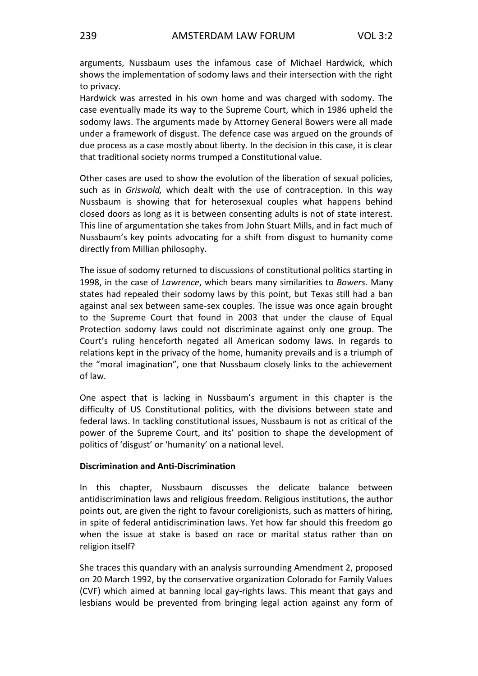arguments, Nussbaum uses the infamous case of Michael Hardwick, which shows the implementation of sodomy laws and their intersection with the right to privacy.

Hardwick was arrested in his own home and was charged with sodomy. The case eventually made its way to the Supreme Court, which in 1986 upheld the sodomy laws. The arguments made by Attorney General Bowers were all made under a framework of disgust. The defence case was argued on the grounds of due process as a case mostly about liberty. In the decision in this case, it is clear that traditional society norms trumped a Constitutional value.

Other cases are used to show the evolution of the liberation of sexual policies, such as in *Griswold,* which dealt with the use of contraception. In this way Nussbaum is showing that for heterosexual couples what happens behind closed doors as long as it is between consenting adults is not of state interest. This line of argumentation she takes from John Stuart Mills, and in fact much of Nussbaum's key points advocating for a shift from disgust to humanity come directly from Millian philosophy.

The issue of sodomy returned to discussions of constitutional politics starting in 1998, in the case of *Lawrence*, which bears many similarities to *Bowers*. Many states had repealed their sodomy laws by this point, but Texas still had a ban against anal sex between same-sex couples. The issue was once again brought to the Supreme Court that found in 2003 that under the clause of Equal Protection sodomy laws could not discriminate against only one group. The Court's ruling henceforth negated all American sodomy laws. In regards to relations kept in the privacy of the home, humanity prevails and is a triumph of the "moral imagination", one that Nussbaum closely links to the achievement of law.

One aspect that is lacking in Nussbaum's argument in this chapter is the difficulty of US Constitutional politics, with the divisions between state and federal laws. In tackling constitutional issues, Nussbaum is not as critical of the power of the Supreme Court, and its' position to shape the development of politics of 'disgust' or 'humanity' on a national level.

#### **Discrimination and Anti-Discrimination**

In this chapter, Nussbaum discusses the delicate balance between antidiscrimination laws and religious freedom. Religious institutions, the author points out, are given the right to favour coreligionists, such as matters of hiring, in spite of federal antidiscrimination laws. Yet how far should this freedom go when the issue at stake is based on race or marital status rather than on religion itself?

She traces this quandary with an analysis surrounding Amendment 2, proposed on 20 March 1992, by the conservative organization Colorado for Family Values (CVF) which aimed at banning local gay-rights laws. This meant that gays and lesbians would be prevented from bringing legal action against any form of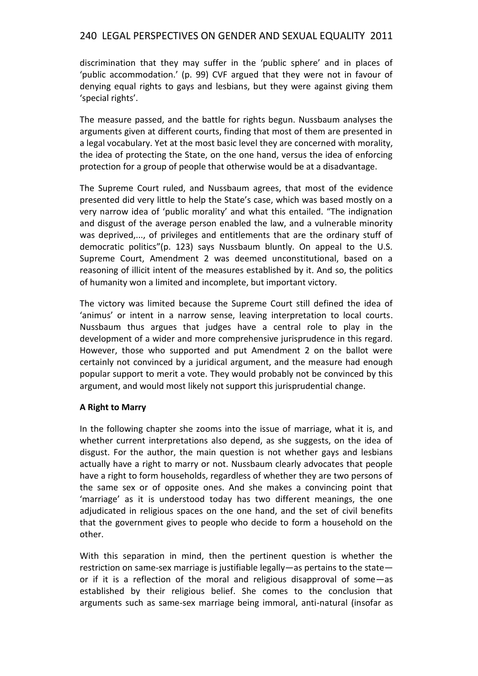# 240 LEGAL PERSPECTIVES ON GENDER AND SEXUAL EQUALITY 2011

discrimination that they may suffer in the 'public sphere' and in places of 'public accommodation.' (p. 99) CVF argued that they were not in favour of denying equal rights to gays and lesbians, but they were against giving them 'special rights'.

The measure passed, and the battle for rights begun. Nussbaum analyses the arguments given at different courts, finding that most of them are presented in a legal vocabulary. Yet at the most basic level they are concerned with morality, the idea of protecting the State, on the one hand, versus the idea of enforcing protection for a group of people that otherwise would be at a disadvantage.

The Supreme Court ruled, and Nussbaum agrees, that most of the evidence presented did very little to help the State's case, which was based mostly on a very narrow idea of 'public morality' and what this entailed. "The indignation and disgust of the average person enabled the law, and a vulnerable minority was deprived,..., of privileges and entitlements that are the ordinary stuff of democratic politics"(p. 123) says Nussbaum bluntly. On appeal to the U.S. Supreme Court, Amendment 2 was deemed unconstitutional, based on a reasoning of illicit intent of the measures established by it. And so, the politics of humanity won a limited and incomplete, but important victory.

The victory was limited because the Supreme Court still defined the idea of 'animus' or intent in a narrow sense, leaving interpretation to local courts. Nussbaum thus argues that judges have a central role to play in the development of a wider and more comprehensive jurisprudence in this regard. However, those who supported and put Amendment 2 on the ballot were certainly not convinced by a juridical argument, and the measure had enough popular support to merit a vote. They would probably not be convinced by this argument, and would most likely not support this jurisprudential change.

## **A Right to Marry**

In the following chapter she zooms into the issue of marriage, what it is, and whether current interpretations also depend, as she suggests, on the idea of disgust. For the author, the main question is not whether gays and lesbians actually have a right to marry or not. Nussbaum clearly advocates that people have a right to form households, regardless of whether they are two persons of the same sex or of opposite ones. And she makes a convincing point that 'marriage' as it is understood today has two different meanings, the one adjudicated in religious spaces on the one hand, and the set of civil benefits that the government gives to people who decide to form a household on the other.

With this separation in mind, then the pertinent question is whether the restriction on same-sex marriage is justifiable legally—as pertains to the state or if it is a reflection of the moral and religious disapproval of some—as established by their religious belief. She comes to the conclusion that arguments such as same-sex marriage being immoral, anti-natural (insofar as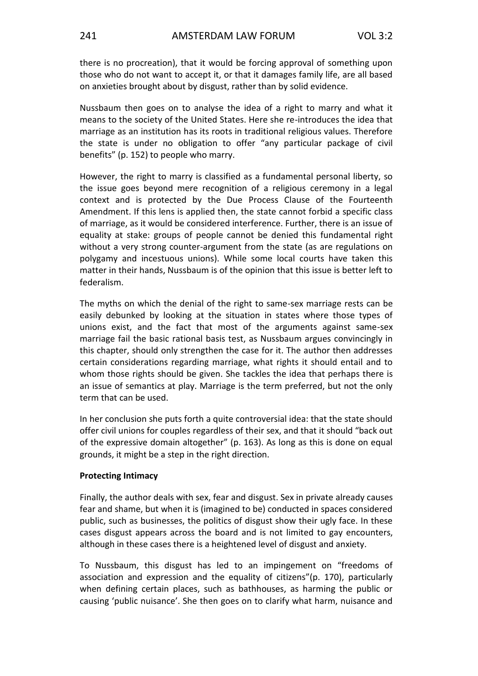there is no procreation), that it would be forcing approval of something upon those who do not want to accept it, or that it damages family life, are all based on anxieties brought about by disgust, rather than by solid evidence.

Nussbaum then goes on to analyse the idea of a right to marry and what it means to the society of the United States. Here she re-introduces the idea that marriage as an institution has its roots in traditional religious values. Therefore the state is under no obligation to offer "any particular package of civil benefits" (p. 152) to people who marry.

However, the right to marry is classified as a fundamental personal liberty, so the issue goes beyond mere recognition of a religious ceremony in a legal context and is protected by the Due Process Clause of the Fourteenth Amendment. If this lens is applied then, the state cannot forbid a specific class of marriage, as it would be considered interference. Further, there is an issue of equality at stake: groups of people cannot be denied this fundamental right without a very strong counter-argument from the state (as are regulations on polygamy and incestuous unions). While some local courts have taken this matter in their hands, Nussbaum is of the opinion that this issue is better left to federalism.

The myths on which the denial of the right to same-sex marriage rests can be easily debunked by looking at the situation in states where those types of unions exist, and the fact that most of the arguments against same-sex marriage fail the basic rational basis test, as Nussbaum argues convincingly in this chapter, should only strengthen the case for it. The author then addresses certain considerations regarding marriage, what rights it should entail and to whom those rights should be given. She tackles the idea that perhaps there is an issue of semantics at play. Marriage is the term preferred, but not the only term that can be used.

In her conclusion she puts forth a quite controversial idea: that the state should offer civil unions for couples regardless of their sex, and that it should "back out of the expressive domain altogether" (p. 163). As long as this is done on equal grounds, it might be a step in the right direction.

## **Protecting Intimacy**

Finally, the author deals with sex, fear and disgust. Sex in private already causes fear and shame, but when it is (imagined to be) conducted in spaces considered public, such as businesses, the politics of disgust show their ugly face. In these cases disgust appears across the board and is not limited to gay encounters, although in these cases there is a heightened level of disgust and anxiety.

To Nussbaum, this disgust has led to an impingement on "freedoms of association and expression and the equality of citizens"(p. 170), particularly when defining certain places, such as bathhouses, as harming the public or causing 'public nuisance'. She then goes on to clarify what harm, nuisance and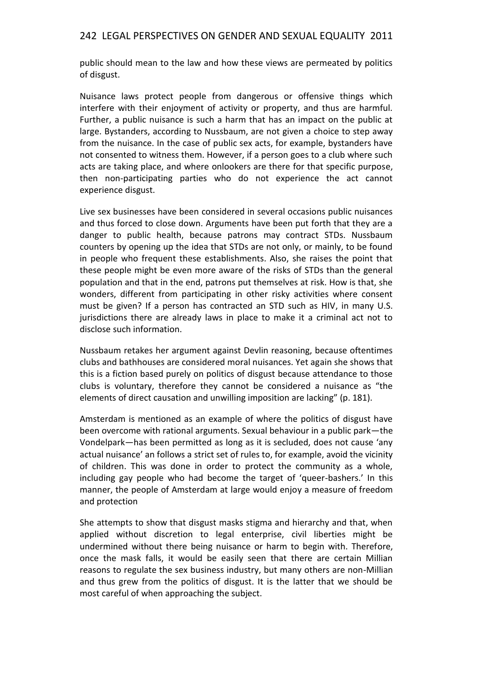## 242 LEGAL PERSPECTIVES ON GENDER AND SEXUAL EQUALITY 2011

public should mean to the law and how these views are permeated by politics of disgust.

Nuisance laws protect people from dangerous or offensive things which interfere with their enjoyment of activity or property, and thus are harmful. Further, a public nuisance is such a harm that has an impact on the public at large. Bystanders, according to Nussbaum, are not given a choice to step away from the nuisance. In the case of public sex acts, for example, bystanders have not consented to witness them. However, if a person goes to a club where such acts are taking place, and where onlookers are there for that specific purpose, then non-participating parties who do not experience the act cannot experience disgust.

Live sex businesses have been considered in several occasions public nuisances and thus forced to close down. Arguments have been put forth that they are a danger to public health, because patrons may contract STDs. Nussbaum counters by opening up the idea that STDs are not only, or mainly, to be found in people who frequent these establishments. Also, she raises the point that these people might be even more aware of the risks of STDs than the general population and that in the end, patrons put themselves at risk. How is that, she wonders, different from participating in other risky activities where consent must be given? If a person has contracted an STD such as HIV, in many U.S. jurisdictions there are already laws in place to make it a criminal act not to disclose such information.

Nussbaum retakes her argument against Devlin reasoning, because oftentimes clubs and bathhouses are considered moral nuisances. Yet again she shows that this is a fiction based purely on politics of disgust because attendance to those clubs is voluntary, therefore they cannot be considered a nuisance as "the elements of direct causation and unwilling imposition are lacking" (p. 181).

Amsterdam is mentioned as an example of where the politics of disgust have been overcome with rational arguments. Sexual behaviour in a public park—the Vondelpark—has been permitted as long as it is secluded, does not cause 'any actual nuisance' an follows a strict set of rules to, for example, avoid the vicinity of children. This was done in order to protect the community as a whole, including gay people who had become the target of 'queer-bashers.' In this manner, the people of Amsterdam at large would enjoy a measure of freedom and protection

She attempts to show that disgust masks stigma and hierarchy and that, when applied without discretion to legal enterprise, civil liberties might be undermined without there being nuisance or harm to begin with. Therefore, once the mask falls, it would be easily seen that there are certain Millian reasons to regulate the sex business industry, but many others are non-Millian and thus grew from the politics of disgust. It is the latter that we should be most careful of when approaching the subject.